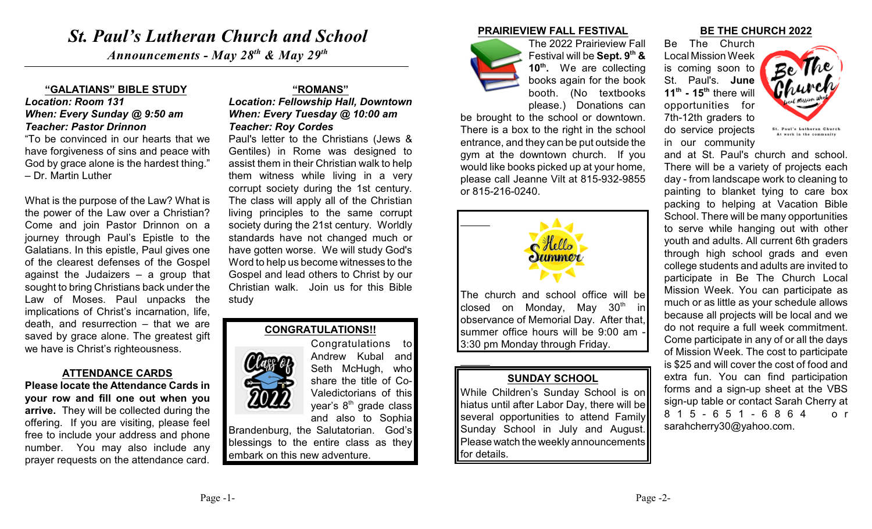# *St. Paul's Lutheran Church and School*

*Announcements - May 28<sup>th</sup> & May 29<sup>th</sup>* 

#### **"GALATIANS" BIBLE STUDY**

### *Location: Room 131 When: Every Sunday @ 9:50 am Teacher: Pastor Drinnon*

"To be convinced in our hearts that we have forgiveness of sins and peace with God by grace alone is the hardest thing." – Dr. Martin Luther

What is the purpose of the Law? What is the power of the Law over a Christian? Come and join Pastor Drinnon on a journey through Paul's Epistle to the Galatians. In this epistle, Paul gives one of the clearest defenses of the Gospel against the Judaizers – a group that sought to bring Christians back under the Law of Moses. Paul unpacks the implications of Christ's incarnation, life, death, and resurrection – that we are saved by grace alone. The greatest gift we have is Christ's righteousness.

#### **ATTENDANCE CARDS**

**Please locate the Attendance Cards in your row and fill one out when you arrive.** They will be collected during the offering. If you are visiting, please feel free to include your address and phone number. You may also include any prayer requests on the attendance card.

## **"ROMANS"**

*Location: Fellowship Hall, Downtown When: Every Tuesday @ 10:00 am Teacher: Roy Cordes*

Paul's letter to the Christians (Jews & Gentiles) in Rome was designed to assist them in their Christian walk to help them witness while living in a very corrupt society during the 1st century. The class will apply all of the Christian living principles to the same corrupt society during the 21st century. Worldly standards have not changed much or have gotten worse. We will study God's Word to help us become witnesses to the Gospel and lead others to Christ by our Christian walk. Join us for this Bible study



Congratulations to Andrew Kubal and Seth McHugh, who share the title of Co-Valedictorians of this year's  $8<sup>th</sup>$  grade class

and also to Sophia Brandenburg, the Salutatorian. God's blessings to the entire class as they embark on this new adventure.

#### **PRAIRIEVIEW FALL FESTIVAL**



The 2022 Prairieview Fall Festival will be **Sept.** 9<sup>th</sup> & **10<sup>th</sup>.** We are collecting books again for the book booth. (No textbooks please.) Donations can

be brought to the school or downtown. There is a box to the right in the school entrance, and they can be put outside the gym at the downtown church. If you would like books picked up at your home, please call Jeanne Vilt at 815-932-9855 or 815-216-0240.



The church and school office will be closed on Monday, May  $30<sup>th</sup>$  in observance of Memorial Day. After that, summer office hours will be 9:00 am - 3:30 pm Monday through Friday.

## **SUNDAY SCHOOL**

While Children's Sunday School is on hiatus until after Labor Day, there will be several opportunities to attend Family Sunday School in July and August. Please watch the weekly announcements for details.

#### **BE THE CHURCH 2022**

Be The Church Local Mission Week is coming soon to St. Paul's. **June**  $11<sup>th</sup>$  -  $15<sup>th</sup>$  there will opportunities for 7th-12th graders to do service projects in our community



and at St. Paul's church and school. There will be a variety of projects each day - from landscape work to cleaning to painting to blanket tying to care box packing to helping at Vacation Bible School. There will be many opportunities to serve while hanging out with other youth and adults. All current 6th graders through high school grads and even college students and adults are invited to participate in Be The Church Local Mission Week. You can participate as much or as little as your schedule allows because all projects will be local and we do not require a full week commitment. Come participate in any of or all the days of Mission Week. The cost to participate is \$25 and will cover the cost of food and extra fun. You can find participation forms and a sign-up sheet at the VBS sign-up table or contact Sarah Cherry at 815- 651 - 6 8 64 or sarahcherry30@yahoo.com.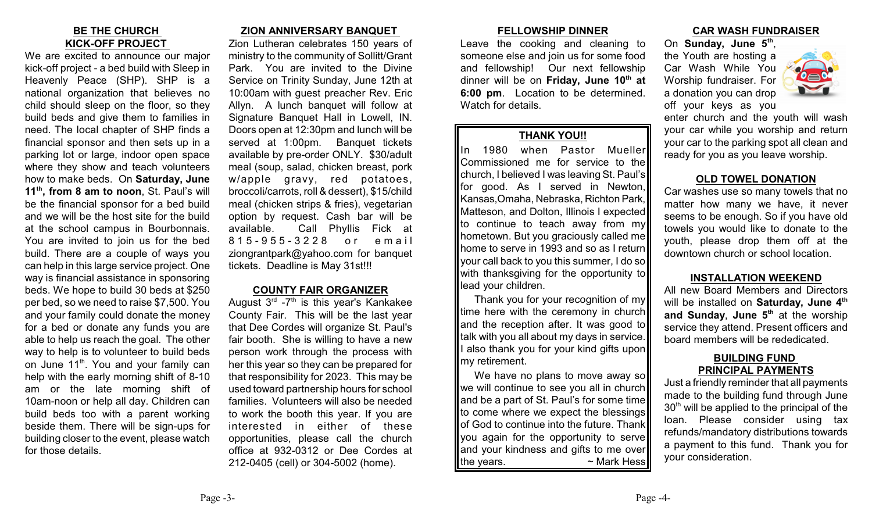## **BE THE CHURCH KICK-OFF PROJECT**

We are excited to announce our major kick-off project - a bed build with Sleep in Heavenly Peace (SHP). SHP is a national organization that believes no child should sleep on the floor, so they build beds and give them to families in need. The local chapter of SHP finds a financial sponsor and then sets up in a parking lot or large, indoor open space where they show and teach volunteers how to make beds. On **Saturday, June 11<sup>th</sup>, from 8 am to noon**, St. Paul's will be the financial sponsor for a bed build and we will be the host site for the build at the school campus in Bourbonnais. You are invited to join us for the bed build. There are a couple of ways you can help in this large service project. One way is financial assistance in sponsoring beds. We hope to build 30 beds at \$250 per bed, so we need to raise \$7,500. You and your family could donate the money for a bed or donate any funds you are able to help us reach the goal. The other way to help is to volunteer to build beds on June 11<sup>th</sup>. You and your family can help with the early morning shift of 8-10 am or the late morning shift of 10am-noon or help all day. Children can build beds too with a parent working beside them. There will be sign-ups for building closer to the event, please watch for those details.

## **ZION ANNIVERSARY BANQUET**

Zion Lutheran celebrates 150 years of ministry to the community of Sollitt/Grant Park. You are invited to the Divine Service on Trinity Sunday, June 12th at 10:00am with guest preacher Rev. Eric Allyn. A lunch banquet will follow at Signature Banquet Hall in Lowell, IN. Doors open at 12:30pm and lunch will be served at 1:00pm. Banquet tickets available by pre-order ONLY. \$30/adult meal (soup, salad, chicken breast, pork w/apple gravy, red potatoes, broccoli/carrots, roll & dessert), \$15/child meal (chicken strips & fries), vegetarian option by request. Cash bar will be available. Call Phyllis Fick at 815 -955 - 3 2 2 8 o r e m ail ziongrantpark@yahoo.com for banquet tickets. Deadline is May 31st!!!

## **COUNTY FAIR ORGANIZER**

August  $3<sup>rd</sup> -7<sup>th</sup>$  is this year's Kankakee County Fair. This will be the last year that Dee Cordes will organize St. Paul's fair booth. She is willing to have a new person work through the process with her this year so they can be prepared for that responsibility for 2023. This may be used toward partnership hours for school families. Volunteers will also be needed to work the booth this year. If you are interested in either of these opportunities, please call the church office at 932-0312 or Dee Cordes at 212-0405 (cell) or 304-5002 (home).

## **FELLOWSHIP DINNER**

Leave the cooking and cleaning to someone else and join us for some food and fellowship! Our next fellowship dinner will be on **Friday**, June 10<sup>th</sup> at **6:00 pm**. Location to be determined. Watch for details.

## **THANK YOU!!**

In 1980 when Pastor Mueller Commissioned me for service to the church, I believed I was leaving St. Paul's for good. As I served in Newton, Kansas,Omaha, Nebraska, Richton Park, Matteson, and Dolton, Illinois I expected to continue to teach away from my hometown. But you graciously called me home to serve in 1993 and so as I return your call back to you this summer, I do so with thanksgiving for the opportunity to lead your children.

Thank you for your recognition of my time here with the ceremony in church and the reception after. It was good to talk with you all about my days in service. also thank you for your kind gifts upon my retirement.

We have no plans to move away so we will continue to see you all in church and be a part of St. Paul's for some time to come where we expect the blessings of God to continue into the future. Thank you again for the opportunity to serve and your kindness and gifts to me over the years.  $\sim$  Mark Hess

## **CAR WASH FUNDRAISER**

On Sunday, June 5<sup>th</sup>, the Youth are hosting a Car Wash While You Worship fundraiser. For a donation you can drop off your keys as you



enter church and the youth will wash your car while you worship and return your car to the parking spot all clean and ready for you as you leave worship.

## **OLD TOWEL DONATION**

Car washes use so many towels that no matter how many we have, it never seems to be enough. So if you have old towels you would like to donate to the youth, please drop them off at the downtown church or school location.

## **INSTALLATION WEEKEND**

All new Board Members and Directors will be installed on **Saturday, June 4 th** and Sunday, June 5<sup>th</sup> at the worship service they attend. Present officers and board members will be rededicated.

## **BUILDING FUND PRINCIPAL PAYMENTS**

Just a friendly reminder that all payments made to the building fund through June  $30<sup>th</sup>$  will be applied to the principal of the loan. Please consider using tax refunds/mandatory distributions towards a payment to this fund. Thank you for your consideration.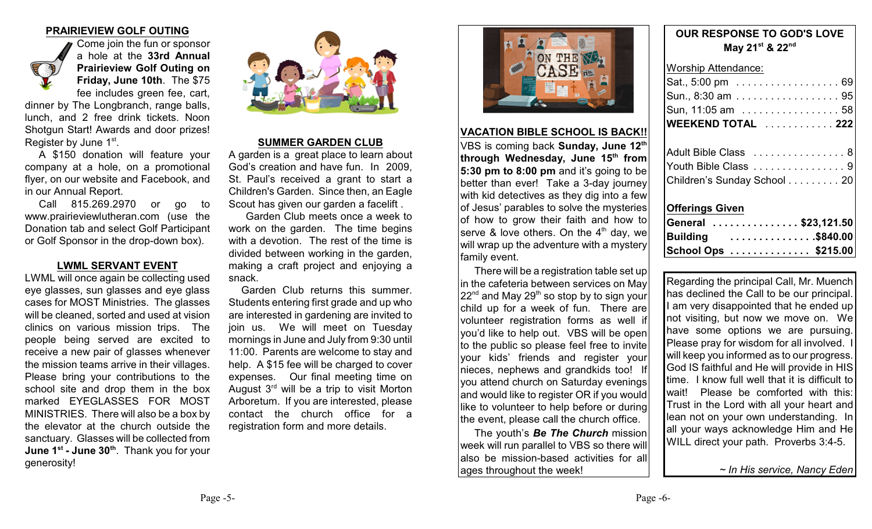## **PRAIRIEVIEW GOLF OUTING**



Come join the fun or sponsor a hole at the **33rd Annual Prairieview Golf Outing on Friday, June 10th**. The \$75 fee includes green fee, cart,

dinner by The Longbranch, range balls, lunch, and 2 free drink tickets. Noon Shotgun Start! Awards and door prizes! Register by June 1st.

A \$150 donation will feature your company at a hole, on a promotional flyer, on our website and Facebook, and in our Annual Report.

Call 815.269.2970 or go to www.prairieviewlutheran.com (use the Donation tab and select Golf Participant or Golf Sponsor in the drop-down box).

## **LWML SERVANT EVENT**

LWML will once again be collecting used eye glasses, sun glasses and eye glass cases for MOST Ministries. The glasses will be cleaned, sorted and used at vision clinics on various mission trips. The people being served are excited to receive a new pair of glasses whenever the mission teams arrive in their villages. Please bring your contributions to the school site and drop them in the box marked EYEGLASSES FOR MOST MINISTRIES. There will also be a box by the elevator at the church outside the sanctuary. Glasses will be collected from **June 1st - June 30<sup>th</sup>**. Thank you for your generosity!



#### **SUMMER GARDEN CLUB**

A garden is a great place to learn about God's creation and have fun. In 2009, St. Paul's received a grant to start a Children's Garden. Since then, an Eagle Scout has given our garden a facelift .

Garden Club meets once a week to work on the garden. The time begins with a devotion. The rest of the time is divided between working in the garden, making a craft project and enjoying a snack.

 Garden Club returns this summer. Students entering first grade and up who are interested in gardening are invited to join us. We will meet on Tuesday mornings in June and July from 9:30 until 11:00. Parents are welcome to stay and help. A \$15 fee will be charged to cover expenses. Our final meeting time on August  $3<sup>rd</sup>$  will be a trip to visit Morton Arboretum. If you are interested, please contact the church office for a registration form and more details.



#### **VACATION BIBLE SCHOOL IS BACK!!**

VBS is coming back **Sunday, June 12th through Wednesday, June 15th from 5:30 pm to 8:00 pm** and it's going to be better than ever! Take a 3-day journey with kid detectives as they dig into a few of Jesus' parables to solve the mysteries of how to grow their faith and how to serve & love others. On the  $4<sup>th</sup>$  day, we will wrap up the adventure with a mystery family event.

There will be a registration table set up in the cafeteria between services on May  $22<sup>nd</sup>$  and May 29<sup>th</sup> so stop by to sign your child up for a week of fun. There are volunteer registration forms as well if you'd like to help out. VBS will be open to the public so please feel free to invite your kids' friends and register your nieces, nephews and grandkids too! If you attend church on Saturday evenings and would like to register OR if you would like to volunteer to help before or during the event, please call the church office.

The youth's *Be The Church* mission week will run parallel to VBS so there will lalso be mission-based activities for all ages throughout the week!

## **OUR RESPONSE TO GOD'S LOVE May 21st & 22nd**

## Worship Attendance:

| Sun, 11:05 am  58 |  |  |  |  |  |  |  |
|-------------------|--|--|--|--|--|--|--|
| Sun., 8:30 am 95  |  |  |  |  |  |  |  |
| Sat., 5:00 pm 69  |  |  |  |  |  |  |  |

| Adult Bible Class  8        |  |
|-----------------------------|--|
| Youth Bible Class  9        |  |
| Children's Sunday School 20 |  |

## **Offerings Given**

| General \$23,121.50 |  |
|---------------------|--|
| Building \$840.00   |  |
| School Ops \$215.00 |  |

Regarding the principal Call, Mr. Muench has declined the Call to be our principal. I am very disappointed that he ended up not visiting, but now we move on. We have some options we are pursuing. Please pray for wisdom for all involved. I will keep you informed as to our progress. God IS faithful and He will provide in HIS time. I know full well that it is difficult to wait! Please be comforted with this: Trust in the Lord with all your heart and lean not on your own understanding. In all your ways acknowledge Him and He WILL direct your path. Proverbs 3:4-5.

*~ In His service, Nancy Eden*